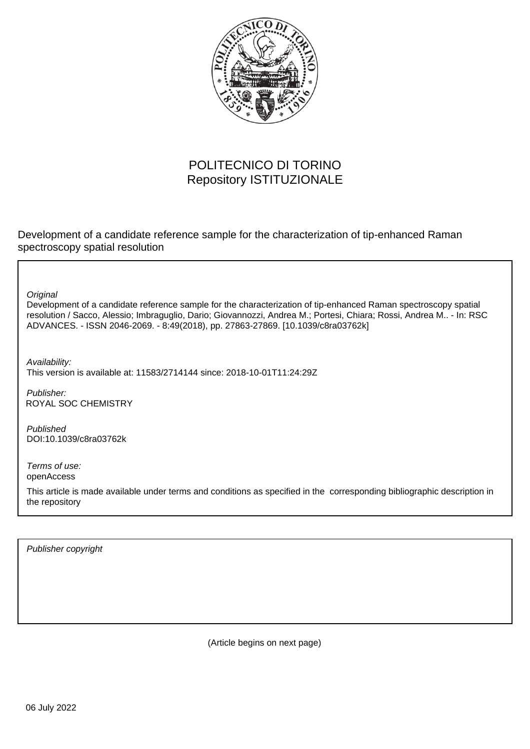

## POLITECNICO DI TORINO Repository ISTITUZIONALE

Development of a candidate reference sample for the characterization of tip-enhanced Raman spectroscopy spatial resolution

**Original** 

Development of a candidate reference sample for the characterization of tip-enhanced Raman spectroscopy spatial resolution / Sacco, Alessio; Imbraguglio, Dario; Giovannozzi, Andrea M.; Portesi, Chiara; Rossi, Andrea M.. - In: RSC ADVANCES. - ISSN 2046-2069. - 8:49(2018), pp. 27863-27869. [10.1039/c8ra03762k]

Availability: This version is available at: 11583/2714144 since: 2018-10-01T11:24:29Z

Publisher: ROYAL SOC CHEMISTRY

Published DOI:10.1039/c8ra03762k

Terms of use: openAccess

This article is made available under terms and conditions as specified in the corresponding bibliographic description in the repository

Publisher copyright

(Article begins on next page)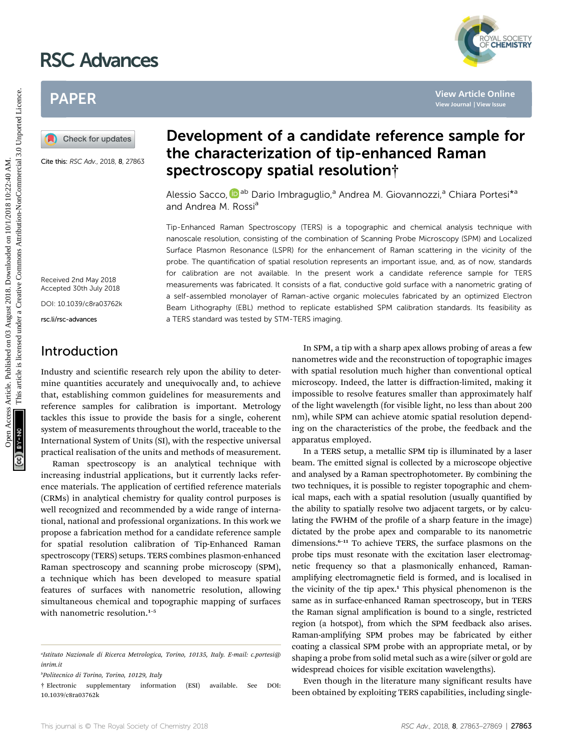# RSC Advances



## PAPER

Cite this: RSC Adv., 2018, 8, 27863

## Development of a candidate reference sample for the characterization of tip-enhanced Raman spectroscopy spatial resolution†

Alessio Sacco, **D**<sup>ab</sup> Dario Imbraguglio,<sup>a</sup> Andrea M. Giovannozzi,<sup>a</sup> Chiara Portesi<sup>\*a</sup> and Andrea M. Rossi<sup>a</sup>

Tip-Enhanced Raman Spectroscopy (TERS) is a topographic and chemical analysis technique with nanoscale resolution, consisting of the combination of Scanning Probe Microscopy (SPM) and Localized Surface Plasmon Resonance (LSPR) for the enhancement of Raman scattering in the vicinity of the probe. The quantification of spatial resolution represents an important issue, and, as of now, standards for calibration are not available. In the present work a candidate reference sample for TERS measurements was fabricated. It consists of a flat, conductive gold surface with a nanometric grating of a self-assembled monolayer of Raman-active organic molecules fabricated by an optimized Electron Beam Lithography (EBL) method to replicate established SPM calibration standards. Its feasibility as a TERS standard was tested by STM-TERS imaging. PAPER<br> **EXERCT AND CHECK CONSULTER CONSULTER CONSULTER CONSULTER CONSULTER CONSULTER CONSULTER CONSULTER CONSULTER CONSULTER CONSULTER CONSULTER CONSULTER CONSULTER CONSULTER CONSULTER CONSULTER CONSULTER CONSULTER CONSUL** 

Received 2nd May 2018 Accepted 30th July 2018 DOI: 10.1039/c8ra03762k

rsc.li/rsc-advances

### Introduction

Industry and scientific research rely upon the ability to determine quantities accurately and unequivocally and, to achieve that, establishing common guidelines for measurements and reference samples for calibration is important. Metrology tackles this issue to provide the basis for a single, coherent system of measurements throughout the world, traceable to the International System of Units (SI), with the respective universal practical realisation of the units and methods of measurement.

Raman spectroscopy is an analytical technique with increasing industrial applications, but it currently lacks reference materials. The application of certified reference materials (CRMs) in analytical chemistry for quality control purposes is well recognized and recommended by a wide range of international, national and professional organizations. In this work we propose a fabrication method for a candidate reference sample for spatial resolution calibration of Tip-Enhanced Raman spectroscopy (TERS) setups. TERS combines plasmon-enhanced Raman spectroscopy and scanning probe microscopy (SPM), a technique which has been developed to measure spatial features of surfaces with nanometric resolution, allowing simultaneous chemical and topographic mapping of surfaces with nanometric resolution.<sup>1-5</sup>

In SPM, a tip with a sharp apex allows probing of areas a few nanometres wide and the reconstruction of topographic images with spatial resolution much higher than conventional optical microscopy. Indeed, the latter is diffraction-limited, making it impossible to resolve features smaller than approximately half of the light wavelength (for visible light, no less than about 200 nm), while SPM can achieve atomic spatial resolution depending on the characteristics of the probe, the feedback and the apparatus employed.

In a TERS setup, a metallic SPM tip is illuminated by a laser beam. The emitted signal is collected by a microscope objective and analysed by a Raman spectrophotometer. By combining the two techniques, it is possible to register topographic and chemical maps, each with a spatial resolution (usually quantified by the ability to spatially resolve two adjacent targets, or by calculating the FWHM of the profile of a sharp feature in the image) dictated by the probe apex and comparable to its nanometric dimensions.<sup>6-11</sup> To achieve TERS, the surface plasmons on the probe tips must resonate with the excitation laser electromagnetic frequency so that a plasmonically enhanced, Ramanamplifying electromagnetic field is formed, and is localised in the vicinity of the tip apex.<sup>1</sup> This physical phenomenon is the same as in surface-enhanced Raman spectroscopy, but in TERS the Raman signal amplication is bound to a single, restricted region (a hotspot), from which the SPM feedback also arises. Raman-amplifying SPM probes may be fabricated by either coating a classical SPM probe with an appropriate metal, or by shaping a probe from solid metal such as a wire (silver or gold are widespread choices for visible excitation wavelengths).

Even though in the literature many significant results have been obtained by exploiting TERS capabilities, including single-

a Istituto Nazionale di Ricerca Metrologica, Torino, 10135, Italy. E-mail: c.portesi@ inrim.it

b Politecnico di Torino, Torino, 10129, Italy

<sup>†</sup> Electronic supplementary information (ESI) available. See DOI: 10.1039/c8ra03762k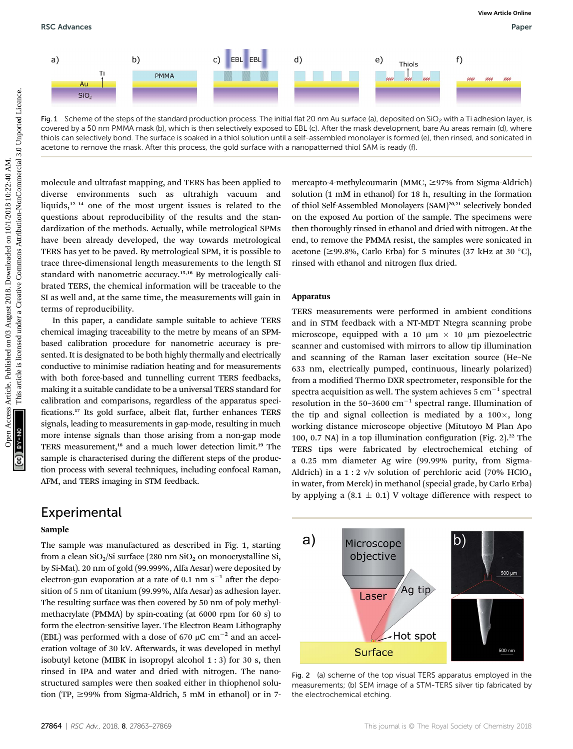

Fig. 1 Scheme of the steps of the standard production process. The initial flat 20 nm Au surface (a), deposited on SiO<sub>2</sub> with a Ti adhesion layer, is covered by a 50 nm PMMA mask (b), which is then selectively exposed to EBL (c). After the mask development, bare Au areas remain (d), where thiols can selectively bond. The surface is soaked in a thiol solution until a self-assembled monolayer is formed (e), then rinsed, and sonicated in acetone to remove the mask. After this process, the gold surface with a nanopatterned thiol SAM is ready (f).

molecule and ultrafast mapping, and TERS has been applied to diverse environments such as ultrahigh vacuum and liquids,12–<sup>14</sup> one of the most urgent issues is related to the questions about reproducibility of the results and the standardization of the methods. Actually, while metrological SPMs have been already developed, the way towards metrological TERS has yet to be paved. By metrological SPM, it is possible to trace three-dimensional length measurements to the length SI standard with nanometric accuracy.15,16 By metrologically calibrated TERS, the chemical information will be traceable to the SI as well and, at the same time, the measurements will gain in terms of reproducibility.

In this paper, a candidate sample suitable to achieve TERS chemical imaging traceability to the metre by means of an SPMbased calibration procedure for nanometric accuracy is presented. It is designated to be both highly thermally and electrically conductive to minimise radiation heating and for measurements with both force-based and tunnelling current TERS feedbacks, making it a suitable candidate to be a universal TERS standard for calibration and comparisons, regardless of the apparatus speci fications.<sup>17</sup> Its gold surface, albeit flat, further enhances TERS signals, leading to measurements in gap-mode, resulting in much more intense signals than those arising from a non-gap mode TERS measurement,<sup>18</sup> and a much lower detection limit.<sup>19</sup> The sample is characterised during the different steps of the production process with several techniques, including confocal Raman, AFM, and TERS imaging in STM feedback.

#### Experimental

#### Sample

The sample was manufactured as described in Fig. 1, starting from a clean  $SiO<sub>2</sub>/Si$  surface (280 nm  $SiO<sub>2</sub>$  on monocrystalline Si, by Si-Mat). 20 nm of gold (99.999%, Alfa Aesar) were deposited by electron-gun evaporation at a rate of 0.1 nm  $s^{-1}$  after the deposition of 5 nm of titanium (99.99%, Alfa Aesar) as adhesion layer. The resulting surface was then covered by 50 nm of poly methylmethacrylate (PMMA) by spin-coating (at 6000 rpm for 60 s) to form the electron-sensitive layer. The Electron Beam Lithography (EBL) was performed with a dose of 670  $\mu$ C cm<sup>-2</sup> and an acceleration voltage of 30 kV. Afterwards, it was developed in methyl isobutyl ketone (MIBK in isopropyl alcohol 1 : 3) for 30 s, then rinsed in IPA and water and dried with nitrogen. The nanostructured samples were then soaked either in thiophenol solution (TP,  $\geq$ 99% from Sigma-Aldrich, 5 mM in ethanol) or in 7mercapto-4-methylcoumarin (MMC,  $\geq$ 97% from Sigma-Aldrich) solution (1 mM in ethanol) for 18 h, resulting in the formation of thiol Self-Assembled Monolayers (SAM)<sup>20,21</sup> selectively bonded on the exposed Au portion of the sample. The specimens were then thoroughly rinsed in ethanol and dried with nitrogen. At the end, to remove the PMMA resist, the samples were sonicated in acetone ( $\geq$ 99.8%, Carlo Erba) for 5 minutes (37 kHz at 30 °C), rinsed with ethanol and nitrogen flux dried.

## Apparatus

TERS measurements were performed in ambient conditions and in STM feedback with a NT-MDT Ntegra scanning probe microscope, equipped with a 10  $\mu$ m  $\times$  10  $\mu$ m piezoelectric scanner and customised with mirrors to allow tip illumination and scanning of the Raman laser excitation source (He–Ne 633 nm, electrically pumped, continuous, linearly polarized) from a modified Thermo DXR spectrometer, responsible for the spectra acquisition as well. The system achieves  $5 \text{ cm}^{-1}$  spectral resolution in the 50–3600  $\text{cm}^{-1}$  spectral range. Illumination of the tip and signal collection is mediated by a  $100\times$ , long working distance microscope objective (Mitutoyo M Plan Apo 100, 0.7 NA) in a top illumination configuration (Fig.  $2$ ).<sup>22</sup> The TERS tips were fabricated by electrochemical etching of a 0.25 mm diameter Ag wire (99.99% purity, from Sigma-Aldrich) in a 1 : 2 v/v solution of perchloric acid (70% HClO4 in water, from Merck) in methanol (special grade, by Carlo Erba) by applying a  $(8.1 \pm 0.1)$  V voltage difference with respect to



Fig. 2 (a) scheme of the top visual TERS apparatus employed in the measurements; (b) SEM image of a STM-TERS silver tip fabricated by the electrochemical etching.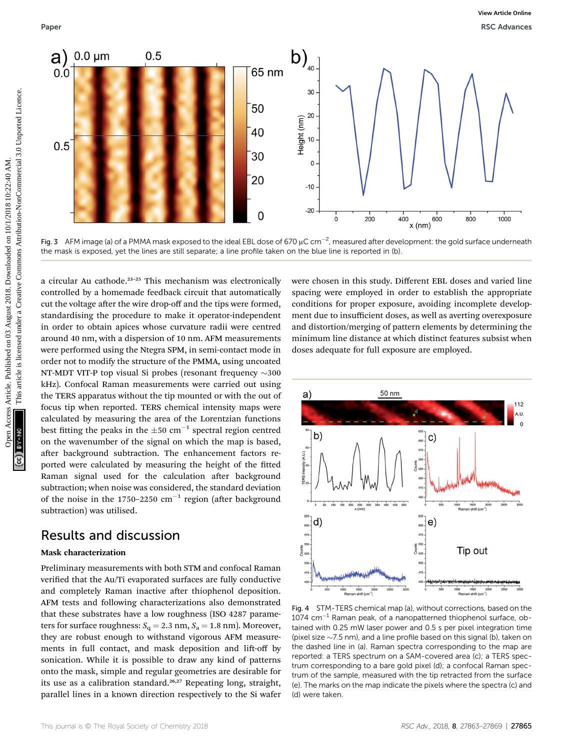

Fig. 3  $\,$  AFM image (a) of a PMMA mask exposed to the ideal EBL dose of 670  $\mu$ C cm $^{-2}$ , measured after development: the gold surface underneath the mask is exposed, yet the lines are still separate; a line profile taken on the blue line is reported in (b).

a circular Au cathode.23–<sup>25</sup> This mechanism was electronically controlled by a homemade feedback circuit that automatically cut the voltage after the wire drop-off and the tips were formed, standardising the procedure to make it operator-independent in order to obtain apices whose curvature radii were centred around 40 nm, with a dispersion of 10 nm. AFM measurements were performed using the Ntegra SPM, in semi-contact mode in order not to modify the structure of the PMMA, using uncoated NT-MDT VIT-P top visual Si probes (resonant frequency  $\sim$  300 kHz). Confocal Raman measurements were carried out using the TERS apparatus without the tip mounted or with the out of focus tip when reported. TERS chemical intensity maps were calculated by measuring the area of the Lorentzian functions best fitting the peaks in the  $\pm 50$  cm<sup>-1</sup> spectral region centred on the wavenumber of the signal on which the map is based, after background subtraction. The enhancement factors reported were calculated by measuring the height of the fitted Raman signal used for the calculation after background subtraction; when noise was considered, the standard deviation of the noise in the 1750–2250  $cm^{-1}$  region (after background subtraction) was utilised.

#### Results and discussion

Preliminary measurements with both STM and confocal Raman verified that the Au/Ti evaporated surfaces are fully conductive and completely Raman inactive after thiophenol deposition. AFM tests and following characterizations also demonstrated that these substrates have a low roughness (ISO 4287 parameters for surface roughness:  $S_q = 2.3$  nm,  $S_a = 1.8$  nm). Moreover, they are robust enough to withstand vigorous AFM measurements in full contact, and mask deposition and lift-off by sonication. While it is possible to draw any kind of patterns onto the mask, simple and regular geometries are desirable for its use as a calibration standard.<sup>26,27</sup> Repeating long, straight, parallel lines in a known direction respectively to the Si wafer

were chosen in this study. Different EBL doses and varied line spacing were employed in order to establish the appropriate conditions for proper exposure, avoiding incomplete development due to insufficient doses, as well as averting overexposure and distortion/merging of pattern elements by determining the minimum line distance at which distinct features subsist when doses adequate for full exposure are employed.



Fig. 4 STM-TERS chemical map (a), without corrections, based on the  $1074$  cm $^{-1}$  Raman peak, of a nanopatterned thiophenol surface, obtained with 0.25 mW laser power and 0.5 s per pixel integration time (pixel size  $\sim$  7.5 nm), and a line profile based on this signal (b), taken on the dashed line in (a). Raman spectra corresponding to the map are reported: a TERS spectrum on a SAM-covered area (c); a TERS spectrum corresponding to a bare gold pixel (d); a confocal Raman spectrum of the sample, measured with the tip retracted from the surface (e). The marks on the map indicate the pixels where the spectra (c) and (d) were taken.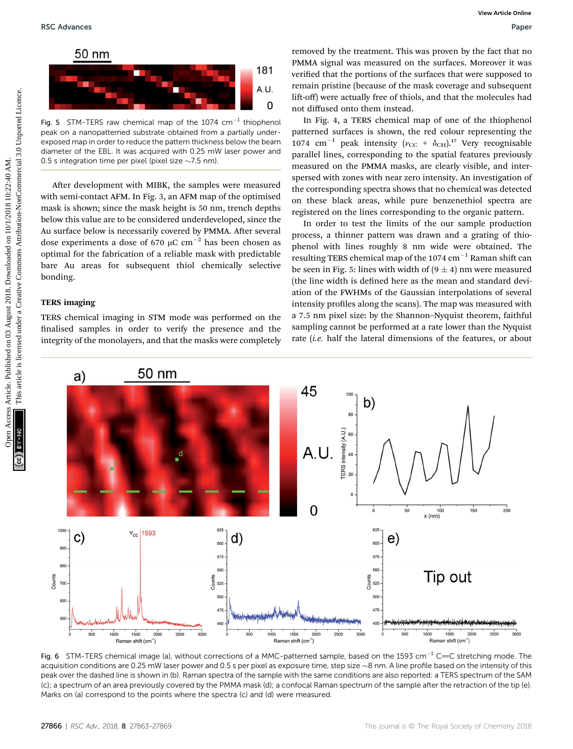

Fig. 5 STM-TERS raw chemical map of the 1074  $cm^{-1}$  thiophenol peak on a nanopatterned substrate obtained from a partially underexposed map in order to reduce the pattern thickness below the beam diameter of the EBL. It was acquired with 0.25 mW laser power and 0.5 s integration time per pixel (pixel size  $\sim$ 7.5 nm).

After development with MIBK, the samples were measured with semi-contact AFM. In Fig. 3, an AFM map of the optimised mask is shown; since the mask height is 50 nm, trench depths below this value are to be considered underdeveloped, since the Au surface below is necessarily covered by PMMA. After several dose experiments a dose of 670  $\mu$ C cm<sup>-2</sup> has been chosen as optimal for the fabrication of a reliable mask with predictable bare Au areas for subsequent thiol chemically selective bonding.

#### TERS imaging

TERS chemical imaging in STM mode was performed on the finalised samples in order to verify the presence and the integrity of the monolayers, and that the masks were completely

removed by the treatment. This was proven by the fact that no PMMA signal was measured on the surfaces. Moreover it was verified that the portions of the surfaces that were supposed to remain pristine (because of the mask coverage and subsequent lift-off) were actually free of thiols, and that the molecules had not diffused onto them instead.

In Fig. 4, a TERS chemical map of one of the thiophenol patterned surfaces is shown, the red colour representing the 1074 cm<sup>-1</sup> peak intensity ( $v_{\text{CC}} + \delta_{\text{CH}}$ ).<sup>17</sup> Very recognisable parallel lines, corresponding to the spatial features previously measured on the PMMA masks, are clearly visible, and interspersed with zones with near zero intensity. An investigation of the corresponding spectra shows that no chemical was detected on these black areas, while pure benzenethiol spectra are registered on the lines corresponding to the organic pattern.

In order to test the limits of the our sample production process, a thinner pattern was drawn and a grating of thiophenol with lines roughly 8 nm wide were obtained. The resulting TERS chemical map of the  $1074 \text{ cm}^{-1}$  Raman shift can be seen in Fig. 5: lines with width of  $(9 \pm 4)$  nm were measured (the line width is defined here as the mean and standard deviation of the FWHMs of the Gaussian interpolations of several intensity profiles along the scans). The map was measured with a 7.5 nm pixel size: by the Shannon–Nyquist theorem, faithful sampling cannot be performed at a rate lower than the Nyquist rate (i.e. half the lateral dimensions of the features, or about



Fig. 6 STM-TERS chemical image (a), without corrections of a MMC-patterned sample, based on the 1593 cm<sup>-1</sup> C=C stretching mode. The acquisition conditions are 0.25 mW laser power and 0.5 s per pixel as exposure time, step size  $\sim$ 8 nm. A line profile based on the intensity of this peak over the dashed line is shown in (b). Raman spectra of the sample with the same conditions are also reported: a TERS spectrum of the SAM (c); a spectrum of an area previously covered by the PMMA mask (d); a confocal Raman spectrum of the sample after the retraction of the tip (e). Marks on (a) correspond to the points where the spectra (c) and (d) were measured.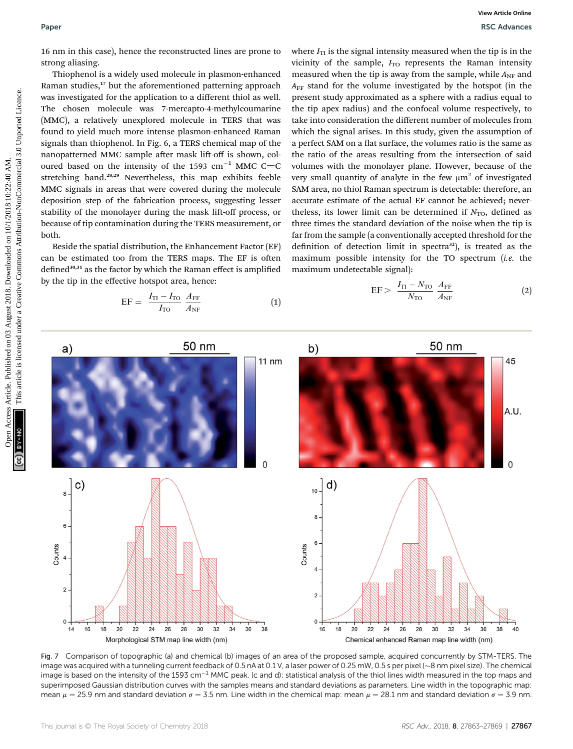16 nm in this case), hence the reconstructed lines are prone to strong aliasing.

Thiophenol is a widely used molecule in plasmon-enhanced Raman studies,<sup>17</sup> but the aforementioned patterning approach was investigated for the application to a different thiol as well. The chosen molecule was 7-mercapto-4-methylcoumarine (MMC), a relatively unexplored molecule in TERS that was found to yield much more intense plasmon-enhanced Raman signals than thiophenol. In Fig. 6, a TERS chemical map of the nanopatterned MMC sample after mask lift-off is shown, coloured based on the intensity of the 1593 cm<sup>-1</sup> MMC C=C stretching band.<sup>28,29</sup> Nevertheless, this map exhibits feeble MMC signals in areas that were covered during the molecule deposition step of the fabrication process, suggesting lesser stability of the monolayer during the mask lift-off process, or because of tip contamination during the TERS measurement, or both.

Beside the spatial distribution, the Enhancement Factor (EF) can be estimated too from the TERS maps. The EF is often defined $30,31$  as the factor by which the Raman effect is amplified by the tip in the effective hotspot area, hence:

$$
EF = \frac{I_{\text{TI}} - I_{\text{TO}}}{I_{\text{TO}}} \frac{A_{\text{FF}}}{A_{\text{NF}}}
$$
 (1)

where  $I_{\text{TI}}$  is the signal intensity measured when the tip is in the vicinity of the sample,  $I_{TO}$  represents the Raman intensity measured when the tip is away from the sample, while  $A_{NF}$  and  $A_{FF}$  stand for the volume investigated by the hotspot (in the present study approximated as a sphere with a radius equal to the tip apex radius) and the confocal volume respectively, to take into consideration the different number of molecules from which the signal arises. In this study, given the assumption of a perfect SAM on a flat surface, the volumes ratio is the same as the ratio of the areas resulting from the intersection of said volumes with the monolayer plane. However, because of the very small quantity of analyte in the few  $\mu$ m<sup>2</sup> of investigated SAM area, no thiol Raman spectrum is detectable: therefore, an accurate estimate of the actual EF cannot be achieved; nevertheless, its lower limit can be determined if  $N_{\text{TO}}$ , defined as three times the standard deviation of the noise when the tip is far from the sample (a conventionally accepted threshold for the definition of detection limit in spectra<sup>32</sup>), is treated as the maximum possible intensity for the TO spectrum (i.e. the maximum undetectable signal):

$$
EF > \frac{I_{\text{TI}} - N_{\text{TO}}}{N_{\text{TO}}} \frac{A_{\text{FF}}}{A_{\text{NF}}}
$$
 (2)



Fig. 7 Comparison of topographic (a) and chemical (b) images of an area of the proposed sample, acquired concurrently by STM-TERS. The image was acquired with a tunneling current feedback of 0.5 nA at 0.1 V, a laser power of 0.25 mW, 0.5 s per pixel  $\sim$ 8 nm pixel size). The chemical image is based on the intensity of the 1593 cm<sup>-1</sup> MMC peak. (c and d): statistical analysis of the thiol lines width measured in the top maps and superimposed Gaussian distribution curves with the samples means and standard deviations as parameters. Line width in the topographic map: mean  $\mu = 25.9$  nm and standard deviation  $\sigma = 3.5$  nm. Line width in the chemical map: mean  $\mu = 28.1$  nm and standard deviation  $\sigma = 3.9$  nm.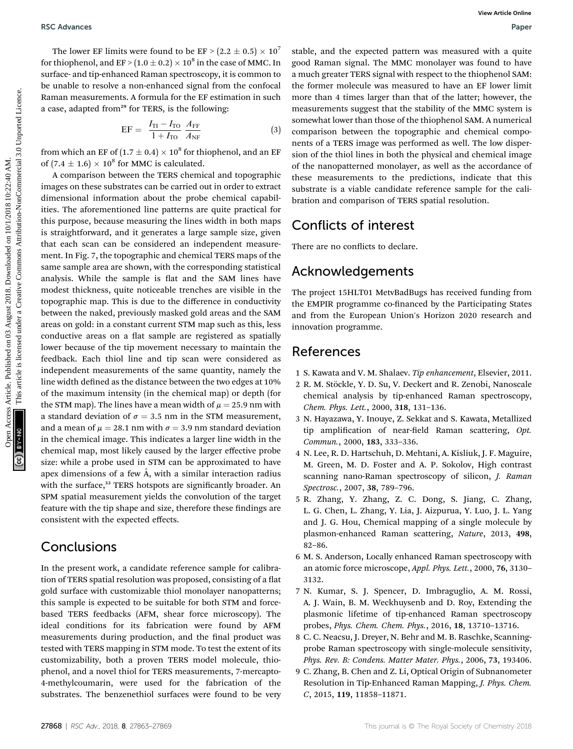The lower EF limits were found to be EF >  $(2.2 \pm 0.5) \times 10^7$ for thiophenol, and  $EF > (1.0 \pm 0.2) \times 10^8$  in the case of MMC. In surface- and tip-enhanced Raman spectroscopy, it is common to be unable to resolve a non-enhanced signal from the confocal Raman measurements. A formula for the EF estimation in such a case, adapted from<sup>29</sup> for TERS, is the following:

$$
EF = \frac{I_{\text{TI}} - I_{\text{TO}}}{1 + I_{\text{TO}}} \frac{A_{\text{FF}}}{A_{\text{NF}}}
$$
(3)

from which an EF of  $(1.7 \pm 0.4) \times 10^8$  for thiophenol, and an EF of  $(7.4 \pm 1.6) \times 10^8$  for MMC is calculated.

A comparison between the TERS chemical and topographic images on these substrates can be carried out in order to extract dimensional information about the probe chemical capabilities. The aforementioned line patterns are quite practical for this purpose, because measuring the lines width in both maps is straightforward, and it generates a large sample size, given that each scan can be considered an independent measurement. In Fig. 7, the topographic and chemical TERS maps of the same sample area are shown, with the corresponding statistical analysis. While the sample is flat and the SAM lines have modest thickness, quite noticeable trenches are visible in the topographic map. This is due to the difference in conductivity between the naked, previously masked gold areas and the SAM areas on gold: in a constant current STM map such as this, less conductive areas on a flat sample are registered as spatially lower because of the tip movement necessary to maintain the feedback. Each thiol line and tip scan were considered as independent measurements of the same quantity, namely the line width defined as the distance between the two edges at 10% of the maximum intensity (in the chemical map) or depth (for the STM map). The lines have a mean width of  $\mu = 25.9$  nm with a standard deviation of  $\sigma = 3.5$  nm in the STM measurement, and a mean of  $\mu = 28.1$  nm with  $\sigma = 3.9$  nm standard deviation in the chemical image. This indicates a larger line width in the chemical map, most likely caused by the larger effective probe size: while a probe used in STM can be approximated to have apex dimensions of a few  $\AA$ , with a similar interaction radius with the surface,<sup>33</sup> TERS hotspots are significantly broader. An SPM spatial measurement yields the convolution of the target feature with the tip shape and size, therefore these findings are consistent with the expected effects. BSC Advances<br>
The loose RF initials were found to be EP - (2.2 + 0.4), we mush a monetaries are the three interests are the model on the common specific in Social Kaugust 2018. Determined the particle interests are the mo

### **Conclusions**

In the present work, a candidate reference sample for calibration of TERS spatial resolution was proposed, consisting of a flat gold surface with customizable thiol monolayer nanopatterns; this sample is expected to be suitable for both STM and forcebased TERS feedbacks (AFM, shear force microscopy). The ideal conditions for its fabrication were found by AFM measurements during production, and the final product was tested with TERS mapping in STM mode. To test the extent of its customizability, both a proven TERS model molecule, thiophenol, and a novel thiol for TERS measurements, 7-mercapto-4-methylcoumarin, were used for the fabrication of the substrates. The benzenethiol surfaces were found to be very

stable, and the expected pattern was measured with a quite good Raman signal. The MMC monolayer was found to have a much greater TERS signal with respect to the thiophenol SAM: the former molecule was measured to have an EF lower limit more than 4 times larger than that of the latter; however, the measurements suggest that the stability of the MMC system is somewhat lower than those of the thiophenol SAM. A numerical comparison between the topographic and chemical components of a TERS image was performed as well. The low dispersion of the thiol lines in both the physical and chemical image of the nanopatterned monolayer, as well as the accordance of these measurements to the predictions, indicate that this substrate is a viable candidate reference sample for the calibration and comparison of TERS spatial resolution.

## Conflicts of interest

There are no conflicts to declare.

## Acknowledgements

The project 15HLT01 MetvBadBugs has received funding from the EMPIR programme co-financed by the Participating States and from the European Union's Horizon 2020 research and innovation programme.

### References

- 1 S. Kawata and V. M. Shalaev. Tip enhancement, Elsevier, 2011.
- 2 R. M. Stöckle, Y. D. Su, V. Deckert and R. Zenobi, Nanoscale chemical analysis by tip-enhanced Raman spectroscopy, Chem. Phys. Lett., 2000, 318, 131–136.
- 3 N. Hayazawa, Y. Inouye, Z. Sekkat and S. Kawata, Metallized tip amplification of near-field Raman scattering, Opt. Commun., 2000, 183, 333–336.
- 4 N. Lee, R. D. Hartschuh, D. Mehtani, A. Kisliuk, J. F. Maguire, M. Green, M. D. Foster and A. P. Sokolov, High contrast scanning nano-Raman spectroscopy of silicon, *J. Raman* Spectrosc., 2007, 38, 789–796.
- 5 R. Zhang, Y. Zhang, Z. C. Dong, S. Jiang, C. Zhang, L. G. Chen, L. Zhang, Y. Lia, J. Aizpurua, Y. Luo, J. L. Yang and J. G. Hou, Chemical mapping of a single molecule by plasmon-enhanced Raman scattering, Nature, 2013, 498, 82–86.
- 6 M. S. Anderson, Locally enhanced Raman spectroscopy with an atomic force microscope, Appl. Phys. Lett., 2000, 76, 3130– 3132.
- 7 N. Kumar, S. J. Spencer, D. Imbraguglio, A. M. Rossi, A. J. Wain, B. M. Weckhuysenb and D. Roy, Extending the plasmonic lifetime of tip-enhanced Raman spectroscopy probes, Phys. Chem. Chem. Phys., 2016, 18, 13710–13716.
- 8 C. C. Neacsu, J. Dreyer, N. Behr and M. B. Raschke, Scanningprobe Raman spectroscopy with single-molecule sensitivity, Phys. Rev. B: Condens. Matter Mater. Phys., 2006, 73, 193406.
- 9 C. Zhang, B. Chen and Z. Li, Optical Origin of Subnanometer Resolution in Tip-Enhanced Raman Mapping, J. Phys. Chem. <sup>C</sup>, 2015, 119, 11858–11871.